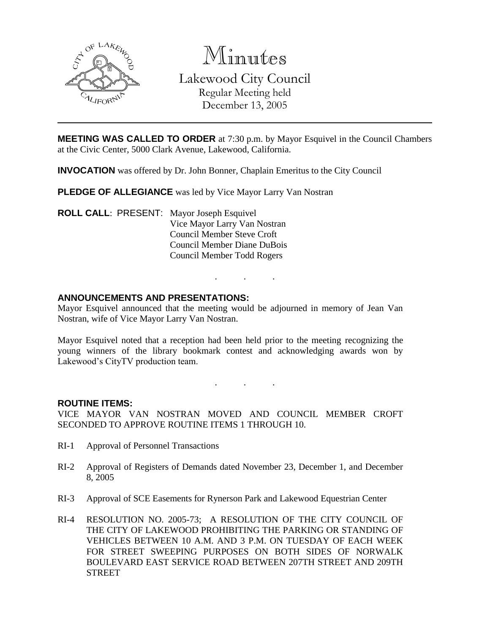

Minutes Lakewood City Council Regular Meeting held December 13, 2005

**MEETING WAS CALLED TO ORDER** at 7:30 p.m. by Mayor Esquivel in the Council Chambers at the Civic Center, 5000 Clark Avenue, Lakewood, California.

**INVOCATION** was offered by Dr. John Bonner, Chaplain Emeritus to the City Council

**PLEDGE OF ALLEGIANCE** was led by Vice Mayor Larry Van Nostran

**ROLL CALL**: PRESENT: Mayor Joseph Esquivel Vice Mayor Larry Van Nostran Council Member Steve Croft Council Member Diane DuBois Council Member Todd Rogers

### **ANNOUNCEMENTS AND PRESENTATIONS:**

Mayor Esquivel announced that the meeting would be adjourned in memory of Jean Van Nostran, wife of Vice Mayor Larry Van Nostran.

. . .

Mayor Esquivel noted that a reception had been held prior to the meeting recognizing the young winners of the library bookmark contest and acknowledging awards won by Lakewood's CityTV production team.

. . .

#### **ROUTINE ITEMS:**

VICE MAYOR VAN NOSTRAN MOVED AND COUNCIL MEMBER CROFT SECONDED TO APPROVE ROUTINE ITEMS 1 THROUGH 10.

- RI-1 Approval of Personnel Transactions
- RI-2 Approval of Registers of Demands dated November 23, December 1, and December 8, 2005
- RI-3 Approval of SCE Easements for Rynerson Park and Lakewood Equestrian Center
- RI-4 RESOLUTION NO. 2005-73; A RESOLUTION OF THE CITY COUNCIL OF THE CITY OF LAKEWOOD PROHIBITING THE PARKING OR STANDING OF VEHICLES BETWEEN 10 A.M. AND 3 P.M. ON TUESDAY OF EACH WEEK FOR STREET SWEEPING PURPOSES ON BOTH SIDES OF NORWALK BOULEVARD EAST SERVICE ROAD BETWEEN 207TH STREET AND 209TH **STREET**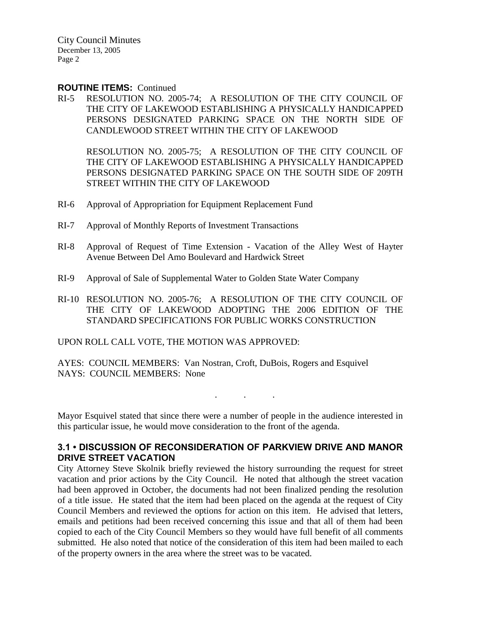City Council Minutes December 13, 2005 Page 2

#### **ROUTINE ITEMS:** Continued

RI-5 RESOLUTION NO. 2005-74; A RESOLUTION OF THE CITY COUNCIL OF THE CITY OF LAKEWOOD ESTABLISHING A PHYSICALLY HANDICAPPED PERSONS DESIGNATED PARKING SPACE ON THE NORTH SIDE OF CANDLEWOOD STREET WITHIN THE CITY OF LAKEWOOD

RESOLUTION NO. 2005-75; A RESOLUTION OF THE CITY COUNCIL OF THE CITY OF LAKEWOOD ESTABLISHING A PHYSICALLY HANDICAPPED PERSONS DESIGNATED PARKING SPACE ON THE SOUTH SIDE OF 209TH STREET WITHIN THE CITY OF LAKEWOOD

- RI-6 Approval of Appropriation for Equipment Replacement Fund
- RI-7 Approval of Monthly Reports of Investment Transactions
- RI-8 Approval of Request of Time Extension Vacation of the Alley West of Hayter Avenue Between Del Amo Boulevard and Hardwick Street
- RI-9 Approval of Sale of Supplemental Water to Golden State Water Company
- RI-10 RESOLUTION NO. 2005-76; A RESOLUTION OF THE CITY COUNCIL OF THE CITY OF LAKEWOOD ADOPTING THE 2006 EDITION OF THE STANDARD SPECIFICATIONS FOR PUBLIC WORKS CONSTRUCTION

UPON ROLL CALL VOTE, THE MOTION WAS APPROVED:

AYES: COUNCIL MEMBERS: Van Nostran, Croft, DuBois, Rogers and Esquivel NAYS: COUNCIL MEMBERS: None

Mayor Esquivel stated that since there were a number of people in the audience interested in this particular issue, he would move consideration to the front of the agenda.

. . .

### **3.1 • DISCUSSION OF RECONSIDERATION OF PARKVIEW DRIVE AND MANOR DRIVE STREET VACATION**

City Attorney Steve Skolnik briefly reviewed the history surrounding the request for street vacation and prior actions by the City Council. He noted that although the street vacation had been approved in October, the documents had not been finalized pending the resolution of a title issue. He stated that the item had been placed on the agenda at the request of City Council Members and reviewed the options for action on this item. He advised that letters, emails and petitions had been received concerning this issue and that all of them had been copied to each of the City Council Members so they would have full benefit of all comments submitted. He also noted that notice of the consideration of this item had been mailed to each of the property owners in the area where the street was to be vacated.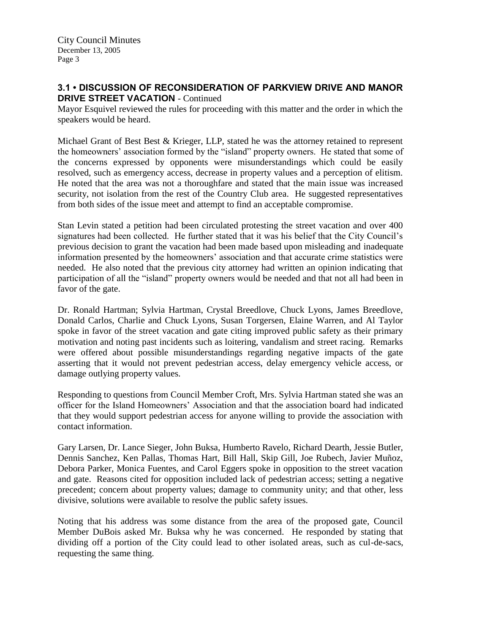# **3.1 • DISCUSSION OF RECONSIDERATION OF PARKVIEW DRIVE AND MANOR DRIVE STREET VACATION - Continued**

Mayor Esquivel reviewed the rules for proceeding with this matter and the order in which the speakers would be heard.

Michael Grant of Best Best & Krieger, LLP, stated he was the attorney retained to represent the homeowners' association formed by the "island" property owners. He stated that some of the concerns expressed by opponents were misunderstandings which could be easily resolved, such as emergency access, decrease in property values and a perception of elitism. He noted that the area was not a thoroughfare and stated that the main issue was increased security, not isolation from the rest of the Country Club area. He suggested representatives from both sides of the issue meet and attempt to find an acceptable compromise.

Stan Levin stated a petition had been circulated protesting the street vacation and over 400 signatures had been collected. He further stated that it was his belief that the City Council's previous decision to grant the vacation had been made based upon misleading and inadequate information presented by the homeowners' association and that accurate crime statistics were needed. He also noted that the previous city attorney had written an opinion indicating that participation of all the "island" property owners would be needed and that not all had been in favor of the gate.

Dr. Ronald Hartman; Sylvia Hartman, Crystal Breedlove, Chuck Lyons, James Breedlove, Donald Carlos, Charlie and Chuck Lyons, Susan Torgersen, Elaine Warren, and Al Taylor spoke in favor of the street vacation and gate citing improved public safety as their primary motivation and noting past incidents such as loitering, vandalism and street racing. Remarks were offered about possible misunderstandings regarding negative impacts of the gate asserting that it would not prevent pedestrian access, delay emergency vehicle access, or damage outlying property values.

Responding to questions from Council Member Croft, Mrs. Sylvia Hartman stated she was an officer for the Island Homeowners' Association and that the association board had indicated that they would support pedestrian access for anyone willing to provide the association with contact information.

Gary Larsen, Dr. Lance Sieger, John Buksa, Humberto Ravelo, Richard Dearth, Jessie Butler, Dennis Sanchez, Ken Pallas, Thomas Hart, Bill Hall, Skip Gill, Joe Rubech, Javier Muñoz, Debora Parker, Monica Fuentes, and Carol Eggers spoke in opposition to the street vacation and gate. Reasons cited for opposition included lack of pedestrian access; setting a negative precedent; concern about property values; damage to community unity; and that other, less divisive, solutions were available to resolve the public safety issues.

Noting that his address was some distance from the area of the proposed gate, Council Member DuBois asked Mr. Buksa why he was concerned. He responded by stating that dividing off a portion of the City could lead to other isolated areas, such as cul-de-sacs, requesting the same thing.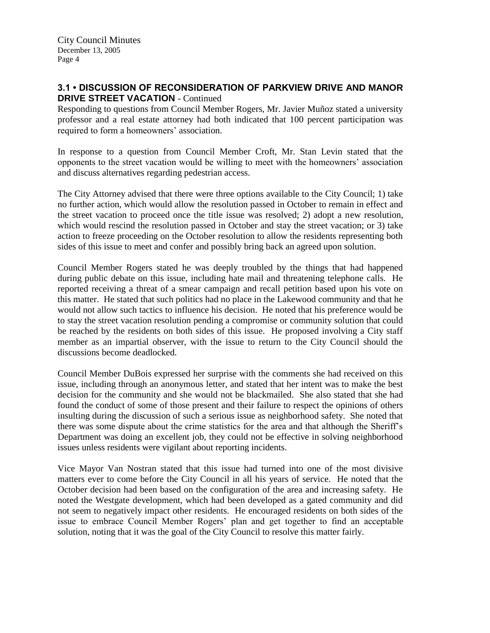# **3.1 • DISCUSSION OF RECONSIDERATION OF PARKVIEW DRIVE AND MANOR DRIVE STREET VACATION - Continued**

Responding to questions from Council Member Rogers, Mr. Javier Muñoz stated a university professor and a real estate attorney had both indicated that 100 percent participation was required to form a homeowners' association.

In response to a question from Council Member Croft, Mr. Stan Levin stated that the opponents to the street vacation would be willing to meet with the homeowners' association and discuss alternatives regarding pedestrian access.

The City Attorney advised that there were three options available to the City Council; 1) take no further action, which would allow the resolution passed in October to remain in effect and the street vacation to proceed once the title issue was resolved; 2) adopt a new resolution, which would rescind the resolution passed in October and stay the street vacation; or 3) take action to freeze proceeding on the October resolution to allow the residents representing both sides of this issue to meet and confer and possibly bring back an agreed upon solution.

Council Member Rogers stated he was deeply troubled by the things that had happened during public debate on this issue, including hate mail and threatening telephone calls. He reported receiving a threat of a smear campaign and recall petition based upon his vote on this matter. He stated that such politics had no place in the Lakewood community and that he would not allow such tactics to influence his decision. He noted that his preference would be to stay the street vacation resolution pending a compromise or community solution that could be reached by the residents on both sides of this issue. He proposed involving a City staff member as an impartial observer, with the issue to return to the City Council should the discussions become deadlocked.

Council Member DuBois expressed her surprise with the comments she had received on this issue, including through an anonymous letter, and stated that her intent was to make the best decision for the community and she would not be blackmailed. She also stated that she had found the conduct of some of those present and their failure to respect the opinions of others insulting during the discussion of such a serious issue as neighborhood safety. She noted that there was some dispute about the crime statistics for the area and that although the Sheriff's Department was doing an excellent job, they could not be effective in solving neighborhood issues unless residents were vigilant about reporting incidents.

Vice Mayor Van Nostran stated that this issue had turned into one of the most divisive matters ever to come before the City Council in all his years of service. He noted that the October decision had been based on the configuration of the area and increasing safety. He noted the Westgate development, which had been developed as a gated community and did not seem to negatively impact other residents. He encouraged residents on both sides of the issue to embrace Council Member Rogers' plan and get together to find an acceptable solution, noting that it was the goal of the City Council to resolve this matter fairly.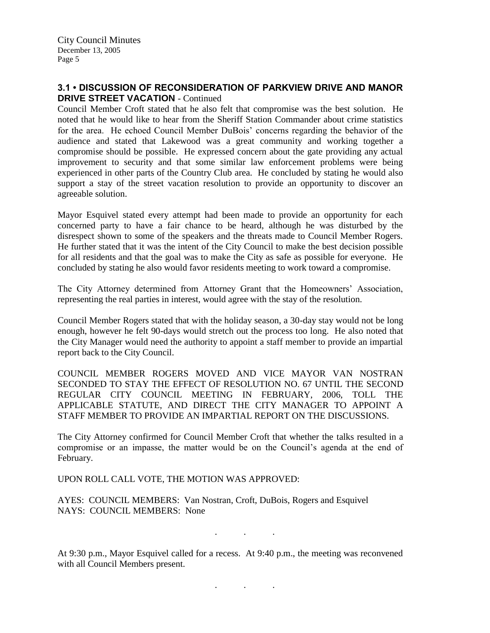# **3.1 • DISCUSSION OF RECONSIDERATION OF PARKVIEW DRIVE AND MANOR DRIVE STREET VACATION - Continued**

Council Member Croft stated that he also felt that compromise was the best solution. He noted that he would like to hear from the Sheriff Station Commander about crime statistics for the area. He echoed Council Member DuBois' concerns regarding the behavior of the audience and stated that Lakewood was a great community and working together a compromise should be possible. He expressed concern about the gate providing any actual improvement to security and that some similar law enforcement problems were being experienced in other parts of the Country Club area. He concluded by stating he would also support a stay of the street vacation resolution to provide an opportunity to discover an agreeable solution.

Mayor Esquivel stated every attempt had been made to provide an opportunity for each concerned party to have a fair chance to be heard, although he was disturbed by the disrespect shown to some of the speakers and the threats made to Council Member Rogers. He further stated that it was the intent of the City Council to make the best decision possible for all residents and that the goal was to make the City as safe as possible for everyone. He concluded by stating he also would favor residents meeting to work toward a compromise.

The City Attorney determined from Attorney Grant that the Homeowners' Association, representing the real parties in interest, would agree with the stay of the resolution.

Council Member Rogers stated that with the holiday season, a 30-day stay would not be long enough, however he felt 90-days would stretch out the process too long. He also noted that the City Manager would need the authority to appoint a staff member to provide an impartial report back to the City Council.

COUNCIL MEMBER ROGERS MOVED AND VICE MAYOR VAN NOSTRAN SECONDED TO STAY THE EFFECT OF RESOLUTION NO. 67 UNTIL THE SECOND REGULAR CITY COUNCIL MEETING IN FEBRUARY, 2006, TOLL THE APPLICABLE STATUTE, AND DIRECT THE CITY MANAGER TO APPOINT A STAFF MEMBER TO PROVIDE AN IMPARTIAL REPORT ON THE DISCUSSIONS.

The City Attorney confirmed for Council Member Croft that whether the talks resulted in a compromise or an impasse, the matter would be on the Council's agenda at the end of February.

UPON ROLL CALL VOTE, THE MOTION WAS APPROVED:

AYES: COUNCIL MEMBERS: Van Nostran, Croft, DuBois, Rogers and Esquivel NAYS: COUNCIL MEMBERS: None

. . .

At 9:30 p.m., Mayor Esquivel called for a recess. At 9:40 p.m., the meeting was reconvened with all Council Members present.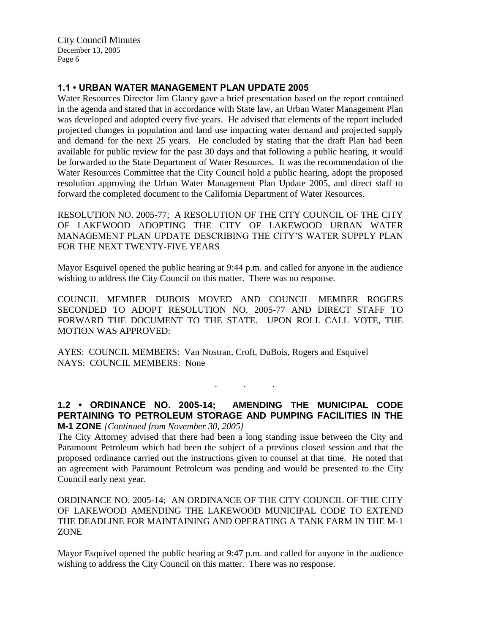City Council Minutes December 13, 2005 Page 6

# **1.1 • URBAN WATER MANAGEMENT PLAN UPDATE 2005**

Water Resources Director Jim Glancy gave a brief presentation based on the report contained in the agenda and stated that in accordance with State law, an Urban Water Management Plan was developed and adopted every five years. He advised that elements of the report included projected changes in population and land use impacting water demand and projected supply and demand for the next 25 years. He concluded by stating that the draft Plan had been available for public review for the past 30 days and that following a public hearing, it would be forwarded to the State Department of Water Resources. It was the recommendation of the Water Resources Committee that the City Council hold a public hearing, adopt the proposed resolution approving the Urban Water Management Plan Update 2005, and direct staff to forward the completed document to the California Department of Water Resources.

RESOLUTION NO. 2005-77; A RESOLUTION OF THE CITY COUNCIL OF THE CITY OF LAKEWOOD ADOPTING THE CITY OF LAKEWOOD URBAN WATER MANAGEMENT PLAN UPDATE DESCRIBING THE CITY'S WATER SUPPLY PLAN FOR THE NEXT TWENTY-FIVE YEARS

Mayor Esquivel opened the public hearing at 9:44 p.m. and called for anyone in the audience wishing to address the City Council on this matter. There was no response.

COUNCIL MEMBER DUBOIS MOVED AND COUNCIL MEMBER ROGERS SECONDED TO ADOPT RESOLUTION NO. 2005-77 AND DIRECT STAFF TO FORWARD THE DOCUMENT TO THE STATE. UPON ROLL CALL VOTE, THE MOTION WAS APPROVED:

AYES: COUNCIL MEMBERS: Van Nostran, Croft, DuBois, Rogers and Esquivel NAYS: COUNCIL MEMBERS: None

## **1.2 • ORDINANCE NO. 2005-14; AMENDING THE MUNICIPAL CODE PERTAINING TO PETROLEUM STORAGE AND PUMPING FACILITIES IN THE M-1 ZONE** *[Continued from November 30, 2005]*

. . .

The City Attorney advised that there had been a long standing issue between the City and Paramount Petroleum which had been the subject of a previous closed session and that the proposed ordinance carried out the instructions given to counsel at that time. He noted that an agreement with Paramount Petroleum was pending and would be presented to the City Council early next year.

ORDINANCE NO. 2005-14; AN ORDINANCE OF THE CITY COUNCIL OF THE CITY OF LAKEWOOD AMENDING THE LAKEWOOD MUNICIPAL CODE TO EXTEND THE DEADLINE FOR MAINTAINING AND OPERATING A TANK FARM IN THE M-1 ZONE

Mayor Esquivel opened the public hearing at 9:47 p.m. and called for anyone in the audience wishing to address the City Council on this matter. There was no response.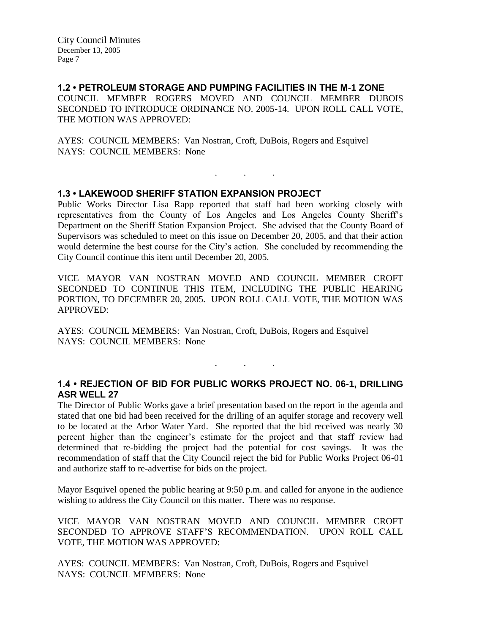### **1.2 • PETROLEUM STORAGE AND PUMPING FACILITIES IN THE M-1 ZONE**

COUNCIL MEMBER ROGERS MOVED AND COUNCIL MEMBER DUBOIS SECONDED TO INTRODUCE ORDINANCE NO. 2005-14. UPON ROLL CALL VOTE, THE MOTION WAS APPROVED:

AYES: COUNCIL MEMBERS: Van Nostran, Croft, DuBois, Rogers and Esquivel NAYS: COUNCIL MEMBERS: None

## **1.3 • LAKEWOOD SHERIFF STATION EXPANSION PROJECT**

Public Works Director Lisa Rapp reported that staff had been working closely with representatives from the County of Los Angeles and Los Angeles County Sheriff's Department on the Sheriff Station Expansion Project. She advised that the County Board of Supervisors was scheduled to meet on this issue on December 20, 2005, and that their action would determine the best course for the City's action. She concluded by recommending the City Council continue this item until December 20, 2005.

. . .

VICE MAYOR VAN NOSTRAN MOVED AND COUNCIL MEMBER CROFT SECONDED TO CONTINUE THIS ITEM, INCLUDING THE PUBLIC HEARING PORTION, TO DECEMBER 20, 2005. UPON ROLL CALL VOTE, THE MOTION WAS APPROVED:

AYES: COUNCIL MEMBERS: Van Nostran, Croft, DuBois, Rogers and Esquivel NAYS: COUNCIL MEMBERS: None

## **1.4 • REJECTION OF BID FOR PUBLIC WORKS PROJECT NO. 06-1, DRILLING ASR WELL 27**

. . .

The Director of Public Works gave a brief presentation based on the report in the agenda and stated that one bid had been received for the drilling of an aquifer storage and recovery well to be located at the Arbor Water Yard. She reported that the bid received was nearly 30 percent higher than the engineer's estimate for the project and that staff review had determined that re-bidding the project had the potential for cost savings. It was the recommendation of staff that the City Council reject the bid for Public Works Project 06-01 and authorize staff to re-advertise for bids on the project.

Mayor Esquivel opened the public hearing at 9:50 p.m. and called for anyone in the audience wishing to address the City Council on this matter. There was no response.

VICE MAYOR VAN NOSTRAN MOVED AND COUNCIL MEMBER CROFT SECONDED TO APPROVE STAFF'S RECOMMENDATION. UPON ROLL CALL VOTE, THE MOTION WAS APPROVED:

AYES: COUNCIL MEMBERS: Van Nostran, Croft, DuBois, Rogers and Esquivel NAYS: COUNCIL MEMBERS: None